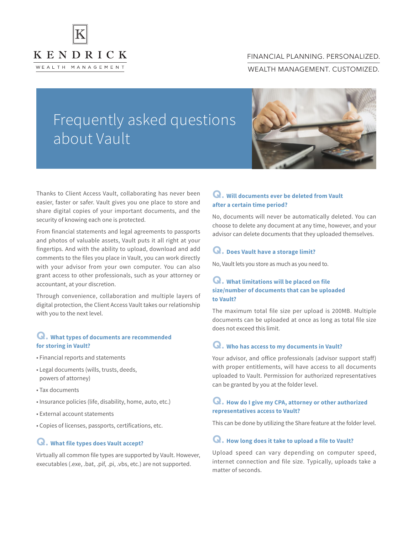

# FINANCIAL PLANNING. PERSONALIZED. WEALTH MANAGEMENT. CUSTOMIZED.

# Frequently asked questions about Vault



Thanks to Client Access Vault, collaborating has never been easier, faster or safer. Vault gives you one place to store and share digital copies of your important documents, and the security of knowing each one is protected.

From financial statements and legal agreements to passports and photos of valuable assets, Vault puts it all right at your fingertips. And with the ability to upload, download and add comments to the files you place in Vault, you can work directly with your advisor from your own computer. You can also grant access to other professionals, such as your attorney or accountant, at your discretion.

Through convenience, collaboration and multiple layers of digital protection, the Client Access Vault takes our relationship with you to the next level.

#### **Q. What types of documents are recommended for storing in Vault?**

- Financial reports and statements
- Legal documents (wills, trusts, deeds, powers of attorney)
- Tax documents
- Insurance policies (life, disability, home, auto, etc.)
- External account statements
- Copies of licenses, passports, certifications, etc.

#### **Q. What file types does Vault accept?**

Virtually all common file types are supported by Vault. However, executables (.exe, .bat, .pif, .pi, .vbs, etc.) are not supported.

# **Q. Will documents ever be deleted from Vault after a certain time period?**

No, documents will never be automatically deleted. You can choose to delete any document at any time, however, and your advisor can delete documents that they uploaded themselves.

#### **Q. Does Vault have a storage limit?**

No, Vault lets you store as much as you need to.

#### **Q. What limitations will be placed on file size/number of documents that can be uploaded to Vault?**

The maximum total file size per upload is 200MB. Multiple documents can be uploaded at once as long as total file size does not exceed this limit.

#### **Q. Who has access to my documents in Vault?**

Your advisor, and office professionals (advisor support staff) with proper entitlements, will have access to all documents uploaded to Vault. Permission for authorized representatives can be granted by you at the folder level.

# **Q. How do I give my CPA, attorney or other authorized representatives access to Vault?**

This can be done by utilizing the Share feature at the folder level.

#### **Q. How long does it take to upload a file to Vault?**

Upload speed can vary depending on computer speed, internet connection and file size. Typically, uploads take a matter of seconds.